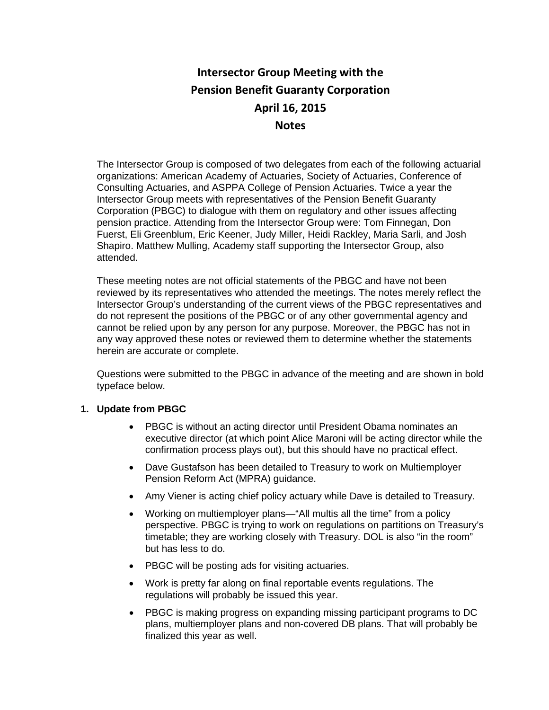# **Intersector Group Meeting with the Pension Benefit Guaranty Corporation April 16, 2015 Notes**

The Intersector Group is composed of two delegates from each of the following actuarial organizations: American Academy of Actuaries, Society of Actuaries, Conference of Consulting Actuaries, and ASPPA College of Pension Actuaries. Twice a year the Intersector Group meets with representatives of the Pension Benefit Guaranty Corporation (PBGC) to dialogue with them on regulatory and other issues affecting pension practice. Attending from the Intersector Group were: Tom Finnegan, Don Fuerst, Eli Greenblum, Eric Keener, Judy Miller, Heidi Rackley, Maria Sarli, and Josh Shapiro. Matthew Mulling, Academy staff supporting the Intersector Group, also attended.

These meeting notes are not official statements of the PBGC and have not been reviewed by its representatives who attended the meetings. The notes merely reflect the Intersector Group's understanding of the current views of the PBGC representatives and do not represent the positions of the PBGC or of any other governmental agency and cannot be relied upon by any person for any purpose. Moreover, the PBGC has not in any way approved these notes or reviewed them to determine whether the statements herein are accurate or complete.

Questions were submitted to the PBGC in advance of the meeting and are shown in bold typeface below.

## **1. Update from PBGC**

- PBGC is without an acting director until President Obama nominates an executive director (at which point Alice Maroni will be acting director while the confirmation process plays out), but this should have no practical effect.
- Dave Gustafson has been detailed to Treasury to work on Multiemployer Pension Reform Act (MPRA) guidance.
- Amy Viener is acting chief policy actuary while Dave is detailed to Treasury.
- Working on multiemployer plans—"All multis all the time" from a policy perspective. PBGC is trying to work on regulations on partitions on Treasury's timetable; they are working closely with Treasury. DOL is also "in the room" but has less to do.
- PBGC will be posting ads for visiting actuaries.
- Work is pretty far along on final reportable events regulations. The regulations will probably be issued this year.
- PBGC is making progress on expanding missing participant programs to DC plans, multiemployer plans and non-covered DB plans. That will probably be finalized this year as well.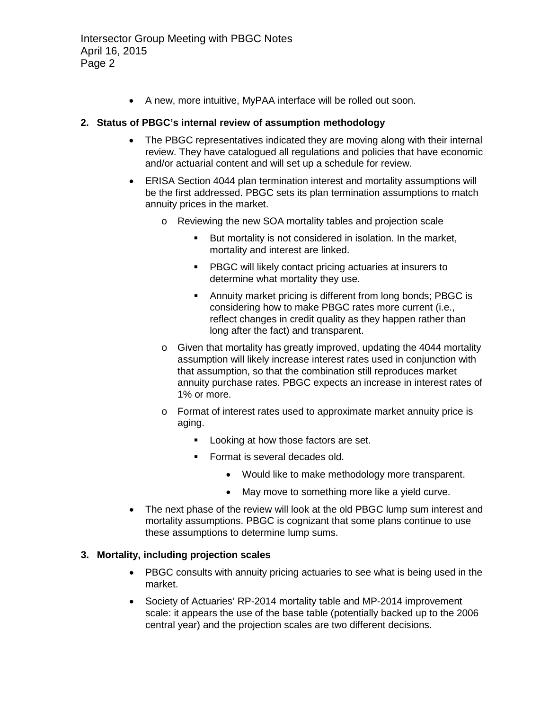• A new, more intuitive, MyPAA interface will be rolled out soon.

# **2. Status of PBGC's internal review of assumption methodology**

- The PBGC representatives indicated they are moving along with their internal review. They have catalogued all regulations and policies that have economic and/or actuarial content and will set up a schedule for review.
- ERISA Section 4044 plan termination interest and mortality assumptions will be the first addressed. PBGC sets its plan termination assumptions to match annuity prices in the market.
	- o Reviewing the new SOA mortality tables and projection scale
		- But mortality is not considered in isolation. In the market, mortality and interest are linked.
		- **PBGC will likely contact pricing actuaries at insurers to** determine what mortality they use.
		- Annuity market pricing is different from long bonds; PBGC is considering how to make PBGC rates more current (i.e., reflect changes in credit quality as they happen rather than long after the fact) and transparent.
	- $\circ$  Given that mortality has greatly improved, updating the 4044 mortality assumption will likely increase interest rates used in conjunction with that assumption, so that the combination still reproduces market annuity purchase rates. PBGC expects an increase in interest rates of 1% or more.
	- o Format of interest rates used to approximate market annuity price is aging.
		- **Looking at how those factors are set.**
		- Format is several decades old.
			- Would like to make methodology more transparent.
			- May move to something more like a yield curve.
- The next phase of the review will look at the old PBGC lump sum interest and mortality assumptions. PBGC is cognizant that some plans continue to use these assumptions to determine lump sums.

# **3. Mortality, including projection scales**

- PBGC consults with annuity pricing actuaries to see what is being used in the market.
- Society of Actuaries' RP-2014 mortality table and MP-2014 improvement scale: it appears the use of the base table (potentially backed up to the 2006 central year) and the projection scales are two different decisions.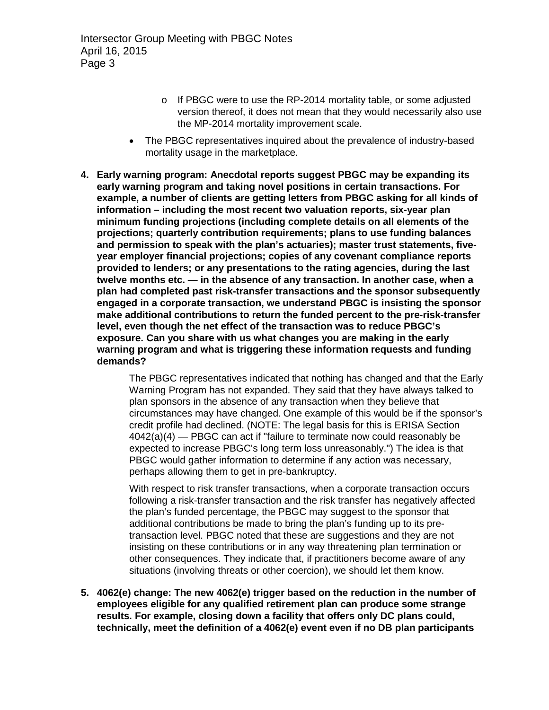- o If PBGC were to use the RP-2014 mortality table, or some adjusted version thereof, it does not mean that they would necessarily also use the MP-2014 mortality improvement scale.
- The PBGC representatives inquired about the prevalence of industry-based mortality usage in the marketplace.
- **4. Early warning program: Anecdotal reports suggest PBGC may be expanding its early warning program and taking novel positions in certain transactions. For example, a number of clients are getting letters from PBGC asking for all kinds of information – including the most recent two valuation reports, six-year plan minimum funding projections (including complete details on all elements of the projections; quarterly contribution requirements; plans to use funding balances and permission to speak with the plan's actuaries); master trust statements, fiveyear employer financial projections; copies of any covenant compliance reports provided to lenders; or any presentations to the rating agencies, during the last twelve months etc. — in the absence of any transaction. In another case, when a plan had completed past risk-transfer transactions and the sponsor subsequently engaged in a corporate transaction, we understand PBGC is insisting the sponsor make additional contributions to return the funded percent to the pre-risk-transfer level, even though the net effect of the transaction was to reduce PBGC's exposure. Can you share with us what changes you are making in the early warning program and what is triggering these information requests and funding demands?**

The PBGC representatives indicated that nothing has changed and that the Early Warning Program has not expanded. They said that they have always talked to plan sponsors in the absence of any transaction when they believe that circumstances may have changed. One example of this would be if the sponsor's credit profile had declined. (NOTE: The legal basis for this is ERISA Section 4042(a)(4) — PBGC can act if "failure to terminate now could reasonably be expected to increase PBGC's long term loss unreasonably.") The idea is that PBGC would gather information to determine if any action was necessary, perhaps allowing them to get in pre-bankruptcy.

With respect to risk transfer transactions, when a corporate transaction occurs following a risk-transfer transaction and the risk transfer has negatively affected the plan's funded percentage, the PBGC may suggest to the sponsor that additional contributions be made to bring the plan's funding up to its pretransaction level. PBGC noted that these are suggestions and they are not insisting on these contributions or in any way threatening plan termination or other consequences. They indicate that, if practitioners become aware of any situations (involving threats or other coercion), we should let them know.

**5. 4062(e) change: The new 4062(e) trigger based on the reduction in the number of employees eligible for any qualified retirement plan can produce some strange results. For example, closing down a facility that offers only DC plans could, technically, meet the definition of a 4062(e) event even if no DB plan participants**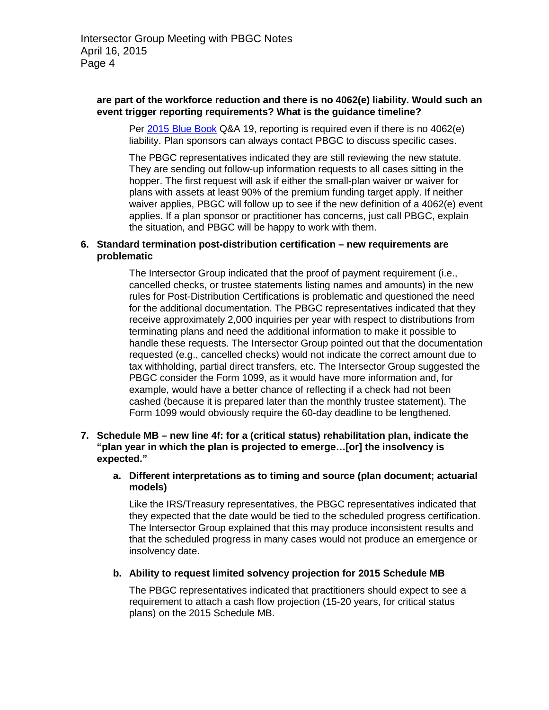#### **are part of the workforce reduction and there is no 4062(e) liability. Would such an event trigger reporting requirements? What is the guidance timeline?**

Per [2015 Blue Book](http://www.pbgc.gov/documents/2015bluebook.pdf) Q&A 19, reporting is required even if there is no 4062(e) liability. Plan sponsors can always contact PBGC to discuss specific cases.

The PBGC representatives indicated they are still reviewing the new statute. They are sending out follow-up information requests to all cases sitting in the hopper. The first request will ask if either the small-plan waiver or waiver for plans with assets at least 90% of the premium funding target apply. If neither waiver applies, PBGC will follow up to see if the new definition of a 4062(e) event applies. If a plan sponsor or practitioner has concerns, just call PBGC, explain the situation, and PBGC will be happy to work with them.

#### **6. Standard termination post-distribution certification – new requirements are problematic**

The Intersector Group indicated that the proof of payment requirement (i.e., cancelled checks, or trustee statements listing names and amounts) in the new rules for Post-Distribution Certifications is problematic and questioned the need for the additional documentation. The PBGC representatives indicated that they receive approximately 2,000 inquiries per year with respect to distributions from terminating plans and need the additional information to make it possible to handle these requests. The Intersector Group pointed out that the documentation requested (e.g., cancelled checks) would not indicate the correct amount due to tax withholding, partial direct transfers, etc. The Intersector Group suggested the PBGC consider the Form 1099, as it would have more information and, for example, would have a better chance of reflecting if a check had not been cashed (because it is prepared later than the monthly trustee statement). The Form 1099 would obviously require the 60-day deadline to be lengthened.

#### **7. Schedule MB – new line 4f: for a (critical status) rehabilitation plan, indicate the "plan year in which the plan is projected to emerge…[or] the insolvency is expected."**

#### **a. Different interpretations as to timing and source (plan document; actuarial models)**

Like the IRS/Treasury representatives, the PBGC representatives indicated that they expected that the date would be tied to the scheduled progress certification. The Intersector Group explained that this may produce inconsistent results and that the scheduled progress in many cases would not produce an emergence or insolvency date.

## **b. Ability to request limited solvency projection for 2015 Schedule MB**

The PBGC representatives indicated that practitioners should expect to see a requirement to attach a cash flow projection (15-20 years, for critical status plans) on the 2015 Schedule MB.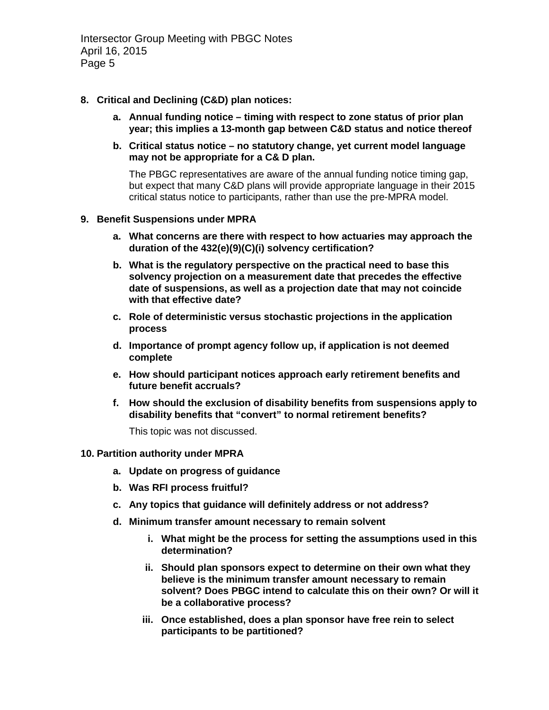Intersector Group Meeting with PBGC Notes April 16, 2015 Page 5

- **8. Critical and Declining (C&D) plan notices:**
	- **a. Annual funding notice – timing with respect to zone status of prior plan year; this implies a 13-month gap between C&D status and notice thereof**
	- **b. Critical status notice – no statutory change, yet current model language may not be appropriate for a C& D plan.**

The PBGC representatives are aware of the annual funding notice timing gap, but expect that many C&D plans will provide appropriate language in their 2015 critical status notice to participants, rather than use the pre-MPRA model.

#### **9. Benefit Suspensions under MPRA**

- **a. What concerns are there with respect to how actuaries may approach the duration of the 432(e)(9)(C)(i) solvency certification?**
- **b. What is the regulatory perspective on the practical need to base this solvency projection on a measurement date that precedes the effective date of suspensions, as well as a projection date that may not coincide with that effective date?**
- **c. Role of deterministic versus stochastic projections in the application process**
- **d. Importance of prompt agency follow up, if application is not deemed complete**
- **e. How should participant notices approach early retirement benefits and future benefit accruals?**
- **f. How should the exclusion of disability benefits from suspensions apply to disability benefits that "convert" to normal retirement benefits?**

This topic was not discussed.

#### **10. Partition authority under MPRA**

- **a. Update on progress of guidance**
- **b. Was RFI process fruitful?**
- **c. Any topics that guidance will definitely address or not address?**
- **d. Minimum transfer amount necessary to remain solvent**
	- **i. What might be the process for setting the assumptions used in this determination?**
	- **ii. Should plan sponsors expect to determine on their own what they believe is the minimum transfer amount necessary to remain solvent? Does PBGC intend to calculate this on their own? Or will it be a collaborative process?**
	- **iii. Once established, does a plan sponsor have free rein to select participants to be partitioned?**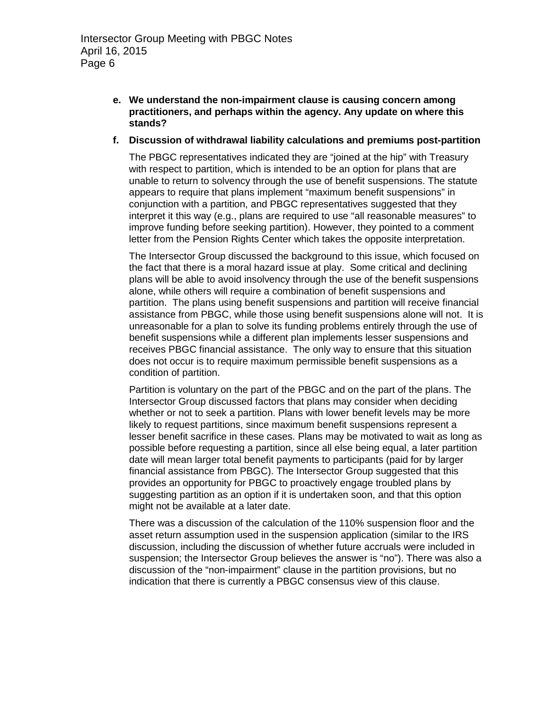- **e. We understand the non-impairment clause is causing concern among practitioners, and perhaps within the agency. Any update on where this stands?**
- **f. Discussion of withdrawal liability calculations and premiums post-partition**

The PBGC representatives indicated they are "joined at the hip" with Treasury with respect to partition, which is intended to be an option for plans that are unable to return to solvency through the use of benefit suspensions. The statute appears to require that plans implement "maximum benefit suspensions" in conjunction with a partition, and PBGC representatives suggested that they interpret it this way (e.g., plans are required to use "all reasonable measures" to improve funding before seeking partition). However, they pointed to a comment letter from the Pension Rights Center which takes the opposite interpretation.

The Intersector Group discussed the background to this issue, which focused on the fact that there is a moral hazard issue at play. Some critical and declining plans will be able to avoid insolvency through the use of the benefit suspensions alone, while others will require a combination of benefit suspensions and partition. The plans using benefit suspensions and partition will receive financial assistance from PBGC, while those using benefit suspensions alone will not. It is unreasonable for a plan to solve its funding problems entirely through the use of benefit suspensions while a different plan implements lesser suspensions and receives PBGC financial assistance. The only way to ensure that this situation does not occur is to require maximum permissible benefit suspensions as a condition of partition.

Partition is voluntary on the part of the PBGC and on the part of the plans. The Intersector Group discussed factors that plans may consider when deciding whether or not to seek a partition. Plans with lower benefit levels may be more likely to request partitions, since maximum benefit suspensions represent a lesser benefit sacrifice in these cases. Plans may be motivated to wait as long as possible before requesting a partition, since all else being equal, a later partition date will mean larger total benefit payments to participants (paid for by larger financial assistance from PBGC). The Intersector Group suggested that this provides an opportunity for PBGC to proactively engage troubled plans by suggesting partition as an option if it is undertaken soon, and that this option might not be available at a later date.

There was a discussion of the calculation of the 110% suspension floor and the asset return assumption used in the suspension application (similar to the IRS discussion, including the discussion of whether future accruals were included in suspension; the Intersector Group believes the answer is "no"). There was also a discussion of the "non-impairment" clause in the partition provisions, but no indication that there is currently a PBGC consensus view of this clause.